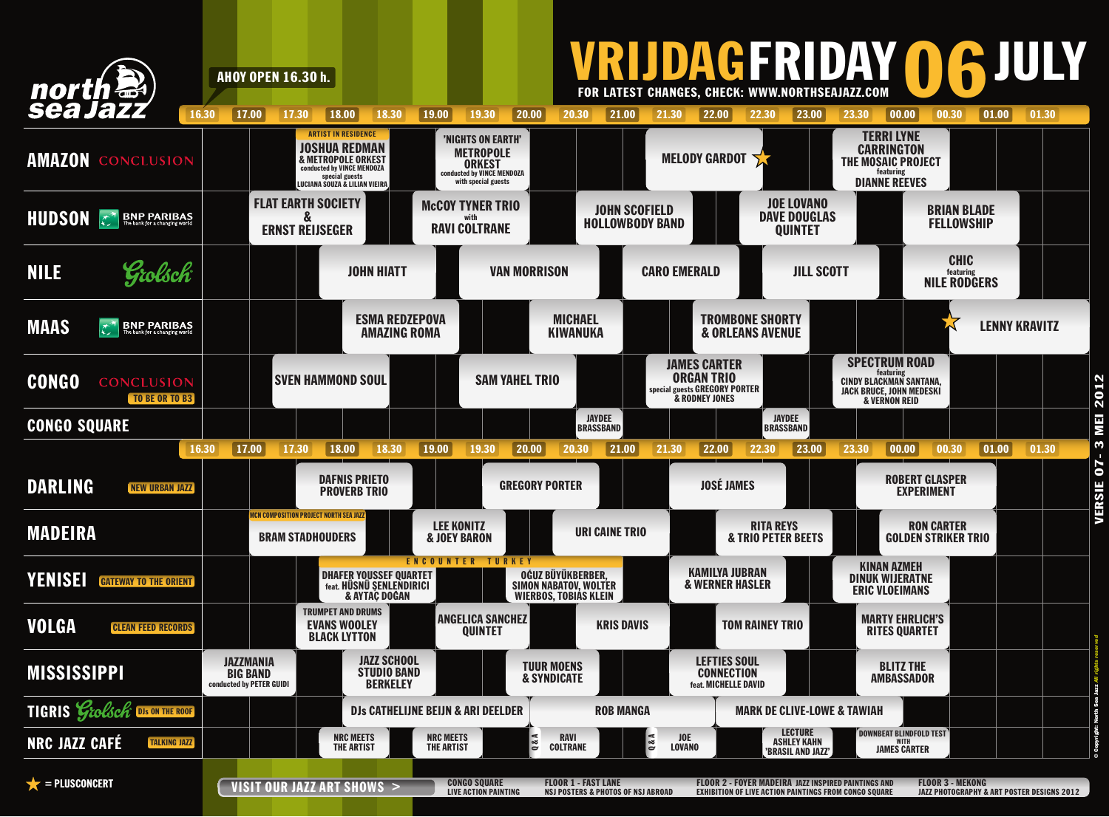

VERSIE 07- 3 MEI 2012  $\omega$  $07-$ **VERSIE**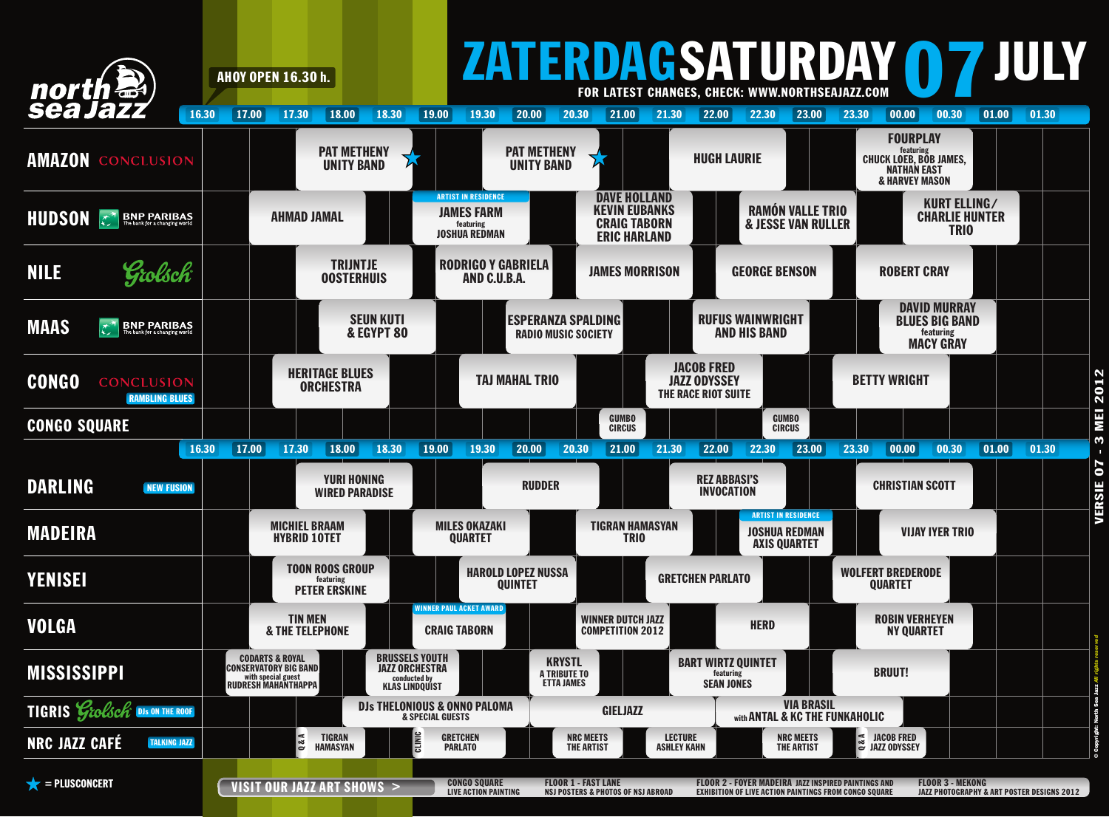